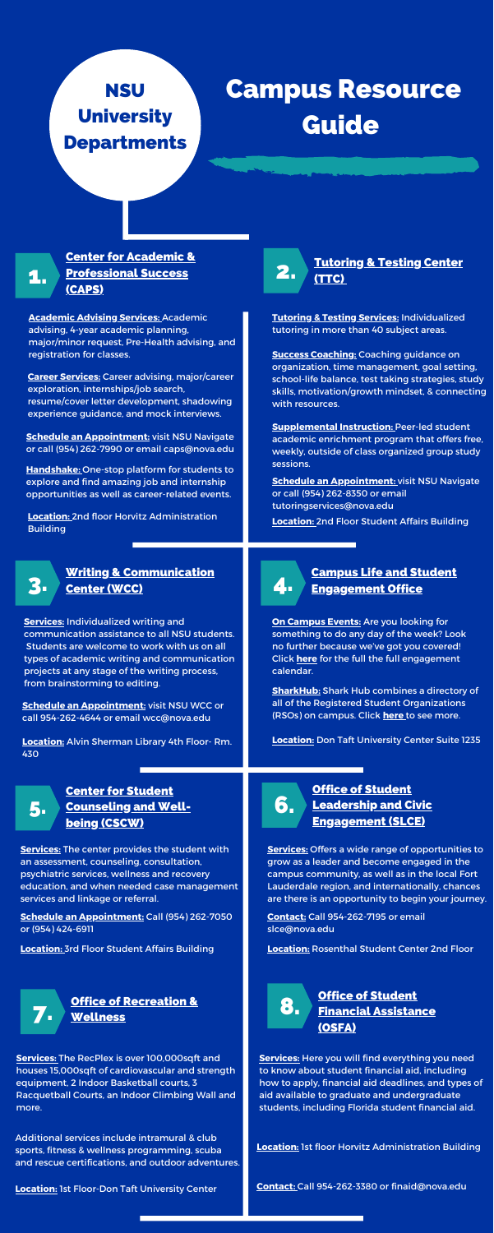

### [Tutoring](https://www.nova.edu/tutoring-testing/index.html) & Testing Center (TTC)

## Center for Academic & [Professional](https://undergrad.nova.edu/academics/center-academic-professional-success/index.html) Success (CAPS)

### Writing & [Communication](https://www.nova.edu/wcc/index.html) Center (WCC)

1.

# 4.

## Campus Life and Student [Engagement](https://www.nova.edu/campuslife/index.html) Office

6.

## Office of Student Leadership and Civic [Engagement](https://www.nova.edu/studentleadership/index.html) (SLCE)

### Center for Student [Counseling](https://www.nova.edu/studentcounseling/index.html) and Wellbeing (CSCW) 5.

# **NSU University Departments**

# Campus Resource Guide

**Academic Advising Services:** Academic advising, 4-year academic planning, major/minor request, Pre-Health advising, and registration for classes.

**Tutoring & Testing Services:** Individualized tutoring in more than 40 subject areas.

**Services:** Individualized writing and communication assistance to all NSU students. Students are welcome to work with us on all types of academic writing and communication projects at any stage of the writing process, from brainstorming to editing.

**Location:** 2nd floor Horvitz Administration **Building** 



### **Services:** The center provides the student with an assessment, counseling, consultation, psychiatric services, wellness and recovery education, and when needed case management services and linkage or referral.

**Services:** Offers a wide range of opportunities to grow as a leader and become engaged in the campus community, as well as in the local Fort Lauderdale region, and internationally, chances are there is an opportunity to begin your journey.

**Career Services:** Career advising, major/career exploration, internships/job search, resume/cover letter development, shadowing experience guidance, and mock interviews.

**Handshake:** One-stop platform for students to explore and find amazing job and internship opportunities as well as career-related events.

**Schedule an Appointment:** visit NSU [Navigate](https://nova.campus.eab.com/) or call (954) 262-7990 or email [caps@nova.edu](mailto:caps@nova.edu) **Success Coaching:** Coaching guidance on organization, time management, goal setting, school-life balance, test taking strategies, study skills, motivation/growth mindset, & connecting with resources.

**Supplemental Instruction:** Peer-led student academic enrichment program that offers free, weekly, outside of class organized group study sessions.

**Location:** 2nd Floor Student Affairs Building

**Schedule an Appointment:** visit NSU [Navigate](https://nova.campus.eab.com/) or call (954) 262-8350 or email [tutoringservices@nova.edu](mailto:tutoringservices@nova.edu)

**Schedule an Appointment:** visit NSU [WCC](https://nova.mywconline.com/) or call 954-262-4644 or email [wcc@nova.edu](mailto:wcc@nova.edu)

**On Campus Events:** Are you looking for something to do any day of the week? Look no further because we've got you covered! Click **[here](https://www.nova.edu/campuslife/engagement-calendar.html)** for the full the full engagement calendar.

**Location:** Alvin Sherman Library 4th Floor- Rm. 430

**SharkHub:** Shark Hub combines a directory of all of the Registered Student Organizations (RSOs) on campus. Click **[here](https://www.nova.edu/campuslife/organizations/sharkhub.html)** to see more.

### **Location:** Don Taft University Center Suite 12



### Office of Student Financial [Assistance](https://www.nova.edu/financialaid/index.html) (OSFA) 8.

**Schedule an Appointment:** Call (954) 262-7050 or (954) 424-6911

**Contact:** Call 954-262-7195 or email [slce@nova.edu](mailto:slce@nova.edu)

**Location:** 3rd Floor Student Affairs Building **Location:** Rosenthal Student Center 2nd Floor

**Services:** The RecPlex is over 100,000sqft and houses 15,000sqft of cardiovascular and strength equipment, 2 Indoor Basketball courts, 3 Racquetball Courts, an Indoor Climbing Wall and more.

**Services:** Here you will find everything you need to know about student financial aid, including how to apply, financial aid deadlines, and types of aid available to graduate and undergraduate students, including Florida student financial aid.

Additional services include intramural & club sports, fitness & wellness programming, scuba and rescue certifications, and outdoor adventures.

**Location:** 1st floor Horvitz Administration Building

**Location:** 1st Floor-Don Taft University Center **Contact:** Call 954-262-3380 or [finaid@nova.edu](mailto:finaid@nova.edu)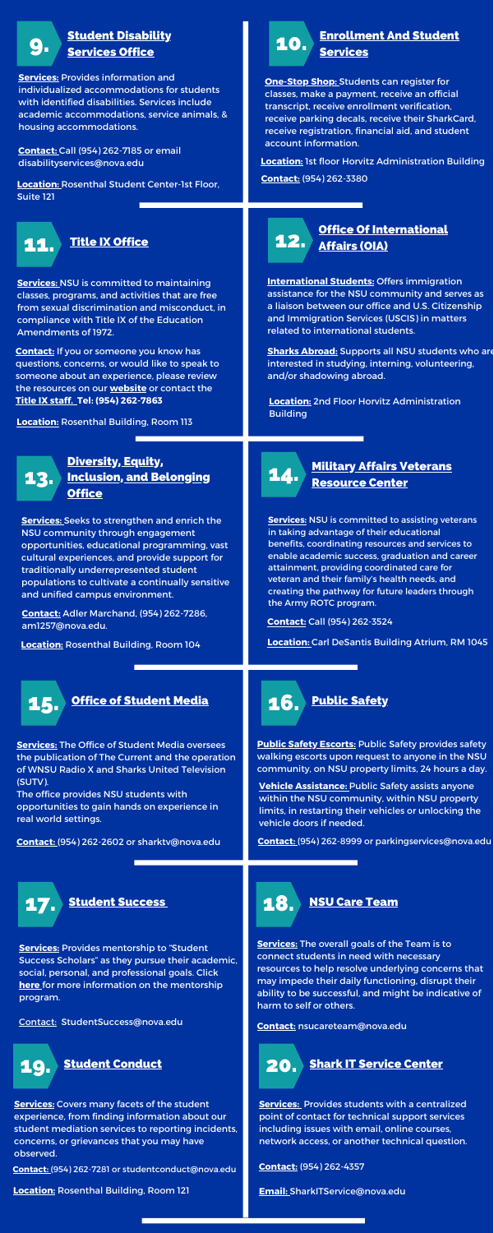

## [Enrollment](https://www.nova.edu/financialaid/contactus/index.html) And Student Services



## **Office Of [International](https://www.nova.edu/internationalaffairs/index.html)** 11. Title IX [Office](https://www.nova.edu/title-ix/index.html) **12.** Affairs (OIA)

### **Military Affairs Veterans** [Resource](https://www.nova.edu/veterans/index.html) Center

### Diversity, Equity, **Inclusion, and [Belonging](https://www.nova.edu/campuslife/diversity/index.html) Office**

# 14.

16.

### **Student [Disability](https://undergrad.nova.edu/academics/center-academic-professional-success/index.html) Services Office**

with identified disabilities. Services include<br>academic accommodations, service animals, & University housing accommodations. **Services:** Provides information and individualized accommodations for students with identified disabilities. Services include

13.

**One-Stop Shop:** Students can register for classes, make a payment, receive an official transcript, receive enrollment verification, receive parking decals, receive their SharkCard, receive registration, financial aid, and student account information.

with the control of the control of the disability services@nova.edu **Contact:** Call (954) 262-7185 or email

**Services:** Seeks to strengthen and enrich the NSU community through engagement opportunities, educational programming, vast cultural experiences, and provide support for traditionally underrepresented student populations to cultivate a continually sensitive and unified campus environment.

**Services:** The Office of Student Media oversees the publication of The Current and the operation of WNSU Radio X and Sharks United Television (SUTV).

The office provides NSU students with opportunities to gain hands on experience in real world settings.

**Services:** NSU is committed to maintaining classes, programs, and activities that are free from sexual discrimination and misconduct, in compliance with Title IX of the Education Amendments of 1972.

**Location:** Rosenthal Student Center-1st Floor, Suite 121



9.

**Contact:** If you or someone you know has questions, concerns, or would like to speak to someone about an experience, please review the resources on our **[website](https://www.nova.edu/title-ix/index.html)** or contact the **Title IX [staff.](https://www.nova.edu/title-ix/index.html) Tel: (954) 262-7863**

**International Students:** Offers immigration assistance for the NSU community and serves as a liaison between our office and U.S. Citizenship and Immigration Services (USCIS) in matters related to international students.

**Location:** Rosenthal Building, Room 113

**Sharks Abroad:** Supports all NSU students who are interested in studying, interning, volunteering, and/or shadowing abroad.

**Contact:** Adler Marchand, (954) 262-7286, [am1257@nova.edu.](mailto:am1257@nova.edu) **Contact:** Call (954) 262-3524

**Services:** NSU is committed to assisting veterans in taking advantage of their educational benefits, coordinating resources and services to enable academic success, graduation and career attainment, providing coordinated care for veteran and their family's health needs, and creating the pathway for future leaders through the Army ROTC program.

**Location:** Rosenthal Building, Room 104 **Location:** Carl DeSantis Building Atrium, RM 1045



**Contact:** (954) 262-2602 or [sharktv@nova.edu](mailto:sharktv@nova.edu)

**Vehicle Assistance:** Public Safety assists anyone within the NSU community, within NSU property limits, in restarting their vehicles or unlocking the vehicle doors if needed.

**Public Safety Escorts:** Public Safety provides safety walking escorts upon request to anyone in the NSU community, on NSU property limits, 24 hours a day.

**Location:** 1st floor Horvitz Administration Building **Contact:** (954) 262-3380

**Services:** Provides mentorship to "Student Success Scholars" as they pursue their academic, social, personal, and professional goals. Click **[here](https://www.nova.edu/studentsuccess/)** [f](https://www.nova.edu/studentsuccess/)or more information on the mentorship program.

Contact: StudentSuccess@nova.edu

**Location:** 2nd Floor Horvitz Administration Building

**Contact:** (954) 262-8999 or parkingservices@nova.edu



NSU Care [Team](https://www.nova.edu/studentcare/index.html)

**Services:** The overall goals of the Team is to connect students in need with necessary resources to help resolve underlying concerns that may impede their daily functioning, disrupt their ability to be successful, and might be indicative of harm to self or others.

**Contact:** nsucareteam@nova.edu

### **Shark IT [Service](https://www.nova.edu/help/index.html) Center** 20.

**Services:** Provides students with a centralized point of contact for technical support services including issues with email, online courses, network access, or another technical question.

**Contact:** (954) 262-4357

**[Email:](mailto:SharkITService@nova.edu)** [SharkITService@nova.edu](mailto:SharkITService@nova.edu)



**Services:** Covers many facets of the student experience, from finding information about our student mediation services to reporting incidents, concerns, or grievances that you may have observed.

**Contact:** (954) 262-7281 or [studentconduct@nova.edu](mailto:studentconduct@nova.edu)

**Location:** Rosenthal Building, Room 121